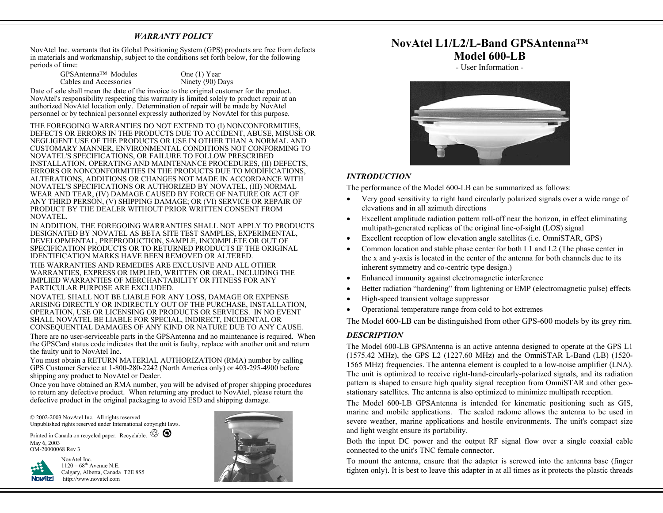# *WARRANTY POLICY*

NovAtel Inc. warrants that its Global Positioning System (GPS) products are free from defects in materials and workmanship, subject to the conditions set forth below, for the following periods of time:

| GPSAntenna™ Modules    |  |  |
|------------------------|--|--|
| Cables and Accessories |  |  |

One  $(1)$  Year Ninety (90) Days

Date of sale shall mean the date of the invoice to the original customer for the product. NovAtel's responsibility respecting this warranty is limited solely to product repair at an authorized NovAtel location only. Determination of repair will be made by NovAtel personnel or by technical personnel expressly authorized by NovAtel for this purpose.

THE FOREGOING WARRANTIES DO NOT EXTEND TO (I) NONCONFORMITIES, DEFECTS OR ERRORS IN THE PRODUCTS DUE TO ACCIDENT, ABUSE, MISUSE OR NEGLIGENT USE OF THE PRODUCTS OR USE IN OTHER THAN A NORMAL AND CUSTOMARY MANNER, ENVIRONMENTAL CONDITIONS NOT CONFORMING TO NOVATEL'S SPECIFICATIONS, OR FAILURE TO FOLLOW PRESCRIBED INSTALLATION, OPERATING AND MAINTENANCE PROCEDURES, (II) DEFECTS, ERRORS OR NONCONFORMITIES IN THE PRODUCTS DUE TO MODIFICATIONS, ALTERATIONS, ADDITIONS OR CHANGES NOT MADE IN ACCORDANCE WITH NOVATEL'S SPECIFICATIONS OR AUTHORIZED BY NOVATEL, (III) NORMAL WEAR AND TEAR, (IV) DAMAGE CAUSED BY FORCE OF NATURE OR ACT OF ANY THIRD PERSON, (V) SHIPPING DAMAGE; OR (VI) SERVICE OR REPAIR OF PRODUCT BY THE DEALER WITHOUT PRIOR WRITTEN CONSENT FROM NOVATEL.

IN ADDITION, THE FOREGOING WARRANTIES SHALL NOT APPLY TO PRODUCTS DESIGNATED BY NOVATEL AS BETA SITE TEST SAMPLES, EXPERIMENTAL, DEVELOPMENTAL, PREPRODUCTION, SAMPLE, INCOMPLETE OR OUT OF SPECIFICATION PRODUCTS OR TO RETURNED PRODUCTS IF THE ORIGINAL IDENTIFICATION MARKS HAVE BEEN REMOVED OR ALTERED.

THE WARRANTIES AND REMEDIES ARE EXCLUSIVE AND ALL OTHER WARRANTIES, EXPRESS OR IMPLIED, WRITTEN OR ORAL, INCLUDING THE IMPLIED WARRANTIES OF MERCHANTABILITY OR FITNESS FOR ANY PARTICULAR PURPOSE ARE EXCLUDED.

NOVATEL SHALL NOT BE LIABLE FOR ANY LOSS, DAMAGE OR EXPENSE ARISING DIRECTLY OR INDIRECTLY OUT OF THE PURCHASE, INSTALLATION, OPERATION, USE OR LICENSING OR PRODUCTS OR SERVICES. IN NO EVENT SHALL NOVATEL BE LIABLE FOR SPECIAL, INDIRECT, INCIDENTAL OR CONSEQUENTIAL DAMAGES OF ANY KIND OR NATURE DUE TO ANY CAUSE.

There are no user-serviceable parts in the GPSAntenna and no maintenance is required. When the GPSCard status code indicates that the unit is faulty, replace with another unit and return the faulty unit to NovAtel Inc.

You must obtain a RETURN MATERIAL AUTHORIZATION (RMA) number by calling GPS Customer Service at 1-800-280-2242 (North America only) or 403-295-4900 before shipping any product to NovAtel or Dealer.

Once you have obtained an RMA number, you will be advised of proper shipping procedures to return any defective product. When returning any product to NovAtel, please return the defective product in the original packaging to avoid ESD and shipping damage.

© 2002-2003 NovAtel Inc. All rights reserved Unpublished rights reserved under International copyright laws.

Printed in Canada on recycled paper. Recyclable.  $\overline{\otimes}$ May 6, 2003 OM-20000068 Rev 3

NovAtel Inc.

**Nov4tel** 



# **NovAtel L1/L2/L-Band GPSAntenna™ Model 600-LB**

- User Information -



#### *INTRODUCTION*

The performance of the Model 600-LB can be summarized as follows:

- Very good sensitivity to right hand circularly polarized signals over a wide range of elevations and in all azimuth directions
- Excellent amplitude radiation pattern roll-off near the horizon, in effect eliminating multipath-generated replicas of the original line-of-sight (LOS) signal
- Excellent reception of low elevation angle satellites (i.e. OmniSTAR, GPS)
- Common location and stable phase center for both L1 and L2 (The phase center in the x and y-axis is located in the center of the antenna for both channels due to its inherent symmetry and co-centric type design.)
- Enhanced immunity against electromagnetic interference
- Better radiation "hardening" from lightening or EMP (electromagnetic pulse) effects
- High-speed transient voltage suppressor
- Operational temperature range from cold to hot extremes

The Model 600-LB can be distinguished from other GPS-600 models by its grey rim.

# *DESCRIPTION*

The Model 600-LB GPSAntenna is an active antenna designed to operate at the GPS L1 (1575.42 MHz), the GPS L2 (1227.60 MHz) and the OmniSTAR L-Band (LB) (1520- 1565 MHz) frequencies. The antenna element is coupled to a low-noise amplifier (LNA). The unit is optimized to receive right-hand-circularly-polarized signals, and its radiation pattern is shaped to ensure high quality signal reception from OmniSTAR and other geostationary satellites. The antenna is also optimized to minimize multipath reception.

The Model 600-LB GPSAntenna is intended for kinematic positioning such as GIS, marine and mobile applications. The sealed radome allows the antenna to be used in severe weather, marine applications and hostile environments. The unit's compact size and light weight ensure its portability.

Both the input DC power and the output RF signal flow over a single coaxial cable connected to the unit's TNC female connector.

To mount the antenna, ensure that the adapter is screwed into the antenna base (finger tighten only). It is best to leave this adapter in at all times as it protects the plastic threads

 $1120 - 68$ <sup>th</sup> Avenue N.E. Calgary, Alberta, Canada T2E 8S5 http://www.novatel.com